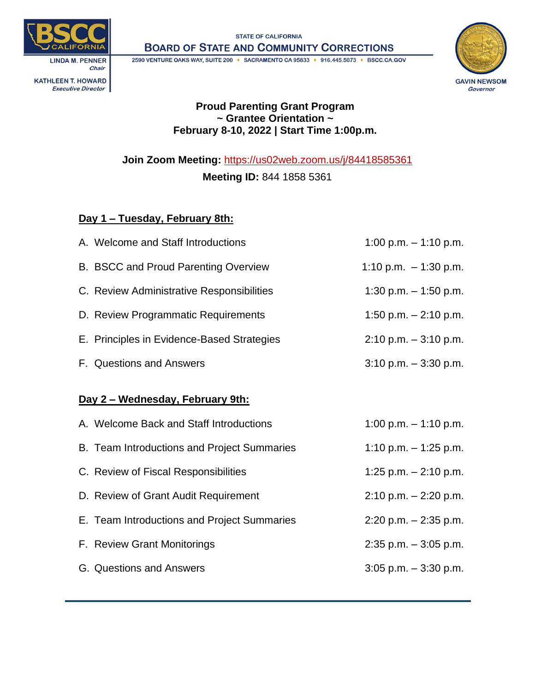

**STATE OF CALIFORNIA BOARD OF STATE AND COMMUNITY CORRECTIONS** 

2590 VENTURE OAKS WAY, SUITE 200 + SACRAMENTO CA 95833 + 916.445.5073 + BSCC.CA.GOV **LINDA M. PENNER** Chair **KATHLEEN T. HOWARD** 

**Executive Director** 



### **Proud Parenting Grant Program ~ Grantee Orientation ~ February 8-10, 2022 | Start Time 1:00p.m.**

**Join Zoom Meeting:** <https://us02web.zoom.us/j/84418585361>

**Meeting ID:** 844 1858 5361

## **Day 1 – Tuesday, February 8th:**

| A. Welcome and Staff Introductions          | 1:00 p.m. $-$ 1:10 p.m.  |  |  |
|---------------------------------------------|--------------------------|--|--|
| B. BSCC and Proud Parenting Overview        | 1:10 p.m. $-1:30$ p.m.   |  |  |
| C. Review Administrative Responsibilities   | 1:30 p.m. $-$ 1:50 p.m.  |  |  |
| D. Review Programmatic Requirements         | 1:50 p.m. $- 2:10$ p.m.  |  |  |
| E. Principles in Evidence-Based Strategies  | $2:10$ p.m. $-3:10$ p.m. |  |  |
| F. Questions and Answers                    | $3:10$ p.m. $-3:30$ p.m. |  |  |
|                                             |                          |  |  |
| <u>Day 2 – Wednesday, February 9th:</u>     |                          |  |  |
|                                             |                          |  |  |
| A. Welcome Back and Staff Introductions     | 1:00 p.m. $-$ 1:10 p.m.  |  |  |
| B. Team Introductions and Project Summaries | 1:10 p.m. $-$ 1:25 p.m.  |  |  |
| C. Review of Fiscal Responsibilities        | 1:25 p.m. $-$ 2:10 p.m.  |  |  |
| D. Review of Grant Audit Requirement        | $2:10$ p.m. $-2:20$ p.m. |  |  |
| E. Team Introductions and Project Summaries | $2:20$ p.m. $-2:35$ p.m. |  |  |
| F. Review Grant Monitorings                 | $2:35$ p.m. $-3:05$ p.m. |  |  |
| G. Questions and Answers                    | $3:05$ p.m. $-3:30$ p.m. |  |  |